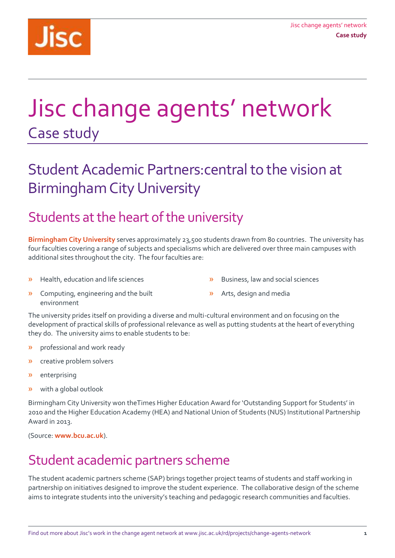

# Jisc change agents' network Case study

# Student Academic Partners:central to the vision at Birmingham City University

### Students at the heart of the university

**[Birmingham City University](http://www.bcu.ac.uk/)** serves approximately 23,500 students drawn from 80 countries. The university has four faculties covering a range of subjects and specialisms which are delivered over three main campuses with additional sites throughout the city. The four faculties are:

» Health, education and life sciences

- » Business, law and social sciences
- » Computing, engineering and the built environment
- » Arts, design and media

The university prides itself on providing a diverse and multi-cultural environment and on focusing on the development of practical skills of professional relevance as well as putting students at the heart of everything they do. The university aims to enable students to be:

- » professional and work ready
- » creative problem solvers
- » enterprising
- » with a global outlook

Birmingham City University won theTimes Higher Education Award for 'Outstanding Support for Students' in 2010 and the Higher Education Academy (HEA) and National Union of Students (NUS) Institutional Partnership Award in 2013.

(Source: **[www.bcu.ac.uk](http://www.bcu.ac.uk/)**).

### Student academic partners scheme

The student academic partners scheme (SAP) brings together project teams of students and staff working in partnership on initiatives designed to improve the student experience. The collaborative design of the scheme aims to integrate students into the university's teaching and pedagogic research communities and faculties.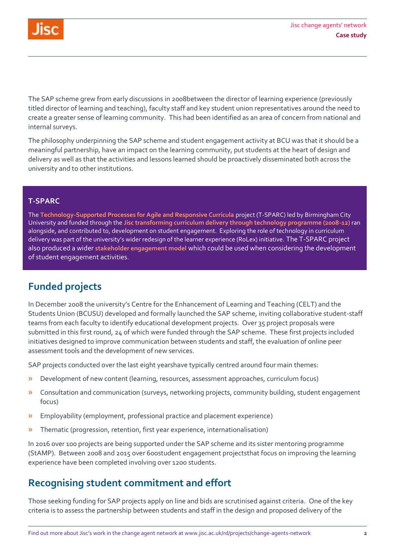

The SAP scheme grew from early discussions in 2008between the director of learning experience (previously titled director of learning and teaching), faculty staff and key student union representatives around the need to create a greater sense of learning community. This had been identified as an area of concern from national and internal surveys.

The philosophy underpinning the SAP scheme and student engagement activity at BCU was that it should be a meaningful partnership, have an impact on the learning community, put students at the heart of design and delivery as well as that the activities and lessons learned should be proactively disseminated both across the university and to other institutions.

#### **T-SPARC**

The **[Technology-Supported Processes for Agile and Responsive Curricula](http://jiscdesignstudio.pbworks.com/w/page/36560187/T-SPARC%20Project)** project (T-SPARC) led by Birmingham City University and funded through the **[Jisc transforming curriculum delivery through technology programme \(2008-12\)](https://www.jisc.ac.uk/rd/projects/curriculum-design)** ran alongside, and contributed to, development on student engagement. Exploring the role of technology in curriculum delivery was part of the university's wider redesign of the learner experience (RoLex) initiative. The T-SPARC project also produced a wider **[stakeholder engagement model](http://jiscdesignstudio.pbworks.com/w/page/27046505/T-SPARC+Stakeholder+Engagement+Model)** which could be used when considering the development of student engagement activities.

### **Funded projects**

In December 2008 the university's Centre for the Enhancement of Learning and Teaching (CELT) and the Students Union (BCUSU) developed and formally launched the SAP scheme, inviting collaborative student-staff teams from each faculty to identify educational development projects. Over 35 project proposals were submitted in this first round, 24 of which were funded through the SAP scheme. These first projects included initiatives designed to improve communication between students and staff, the evaluation of online peer assessment tools and the development of new services.

SAP projects conducted over the last eight yearshave typically centred around four main themes:

- » Development of new content (learning, resources, assessment approaches, curriculum focus)
- » Consultation and communication (surveys, networking projects, community building, student engagement focus)
- » Employability (employment, professional practice and placement experience)
- » Thematic (progression, retention, first year experience, internationalisation)

In 2016 over 100 projects are being supported under the SAP scheme and its sister mentoring programme (StAMP). Between 2008 and 2015 over 600student engagement projectsthat focus on improving the learning experience have been completed involving over 1200 students.

### **Recognising student commitment and effort**

Those seeking funding for SAP projects apply on line and bids are scrutinised against criteria. One of the key criteria is to assess the partnership between students and staff in the design and proposed delivery of the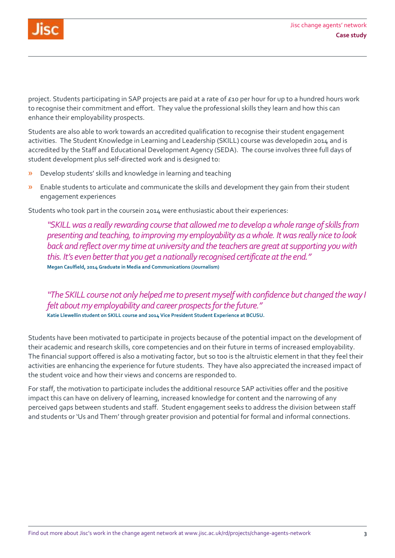

project. Students participating in SAP projects are paid at a rate of £10 per hour for up to a hundred hours work to recognise their commitment and effort. They value the professional skills they learn and how this can enhance their employability prospects.

Students are also able to work towards an accredited qualification to recognise their student engagement activities. The Student Knowledge in Learning and Leadership (SKILL) course was developedin 2014 and is accredited by the Staff and Educational Development Agency (SEDA). The course involves three full days of student development plus self-directed work and is designed to:

- » Develop students' skills and knowledge in learning and teaching
- » Enable students to articulate and communicate the skills and development they gain from their student engagement experiences

Students who took part in the coursein 2014 were enthusiastic about their experiences:

*"SKILLwas a really rewarding course that allowed me to develop a whole range of skills from presenting and teaching, to improving my employability as a whole. It was really nice to look back and reflect over my time at university and the teachers are great at supporting you with this. It's even better that you get a nationally recognised certificate at the end."*  **Megan Caulfield, 2014 Graduate in Media and Communications (Journalism)**

*"The SKILL course not only helped me to present myself with confidence but changed the way I felt about my employability and career prospects for the future."*  **Katie Llewellin student on SKILL course and 2014 Vice President Student Experience at BCUSU.**

Students have been motivated to participate in projects because of the potential impact on the development of their academic and research skills, core competencies and on their future in terms of increased employability. The financial support offered is also a motivating factor, but so too is the altruistic element in that they feel their activities are enhancing the experience for future students. They have also appreciated the increased impact of the student voice and how their views and concerns are responded to.

For staff, the motivation to participate includes the additional resource SAP activities offer and the positive impact this can have on delivery of learning, increased knowledge for content and the narrowing of any perceived gaps between students and staff. Student engagement seeks to address the division between staff and students or 'Us and Them' through greater provision and potential for formal and informal connections.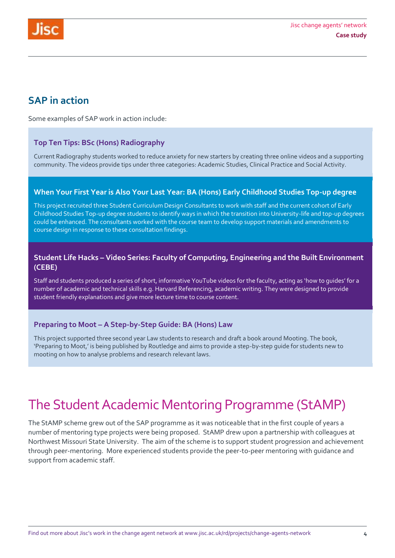

### **SAP in action**

Some examples of SAP work in action include:

#### **Top Ten Tips: BSc (Hons) Radiography**

Current Radiography students worked to reduce anxiety for new starters by creating three online videos and a supporting community. The videos provide tips under three categories: Academic Studies, Clinical Practice and Social Activity.

#### **When Your First Year is Also Your Last Year: BA (Hons) Early Childhood Studies Top-up degree**

This project recruited three Student Curriculum Design Consultants to work with staff and the current cohort of Early Childhood Studies Top-up degree students to identify ways in which the transition into University-life and top-up degrees could be enhanced. The consultants worked with the course team to develop support materials and amendments to course design in response to these consultation findings.

#### **Student Life Hacks – Video Series: Faculty of Computing, Engineering and the Built Environment (CEBE)**

Staff and students produced a series of short, informative YouTube videos for the faculty, acting as 'how to guides' for a number of academic and technical skills e.g. Harvard Referencing, academic writing. They were designed to provide student friendly explanations and give more lecture time to course content.

#### **Preparing to Moot – A Step-by-Step Guide: BA (Hons) Law**

This project supported three second year Law students to research and draft a book around Mooting. The book, 'Preparing to Moot,' is being published by Routledge and aims to provide a step-by-step guide for students new to mooting on how to analyse problems and research relevant laws.

### The Student Academic Mentoring Programme (StAMP)

The StAMP scheme grew out of the SAP programme as it was noticeable that in the first couple of years a number of mentoring type projects were being proposed. StAMP drew upon a partnership with colleagues at Northwest Missouri State University. The aim of the scheme is to support student progression and achievement through peer-mentoring. More experienced students provide the peer-to-peer mentoring with guidance and support from academic staff.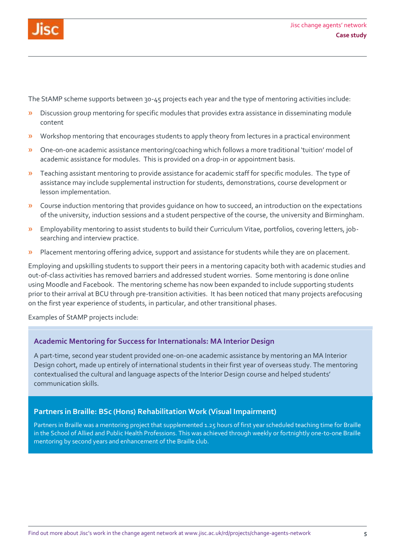

The StAMP scheme supports between 30-45 projects each year and the type of mentoring activities include:

- » Discussion group mentoring for specific modules that provides extra assistance in disseminating module content
- » Workshop mentoring that encourages students to apply theory from lectures in a practical environment
- » One-on-one academic assistance mentoring/coaching which follows a more traditional 'tuition' model of academic assistance for modules. This is provided on a drop-in or appointment basis.
- » Teaching assistant mentoring to provide assistance for academic staff for specific modules. The type of assistance may include supplemental instruction for students, demonstrations, course development or lesson implementation.
- » Course induction mentoring that provides guidance on how to succeed, an introduction on the expectations of the university, induction sessions and a student perspective of the course, the university and Birmingham.
- » Employability mentoring to assist students to build their Curriculum Vitae, portfolios, covering letters, jobsearching and interview practice.
- » Placement mentoring offering advice, support and assistance for students while they are on placement.

Employing and upskilling students to support their peers in a mentoring capacity both with academic studies and out-of-class activities has removed barriers and addressed student worries. Some mentoring is done online using Moodle and Facebook. The mentoring scheme has now been expanded to include supporting students prior to their arrival at BCU through pre-transition activities. It has been noticed that many projects arefocusing on the first year experience of students, in particular, and other transitional phases.

Examples of StAMP projects include:

#### **Academic Mentoring for Success for Internationals: MA Interior Design**

A part-time, second year student provided one-on-one academic assistance by mentoring an MA Interior Design cohort, made up entirely of international students in their first year of overseas study. The mentoring contextualised the cultural and language aspects of the Interior Design course and helped students' communication skills.

#### **Partners in Braille: BSc (Hons) Rehabilitation Work (Visual Impairment)**

Partners in Braille was a mentoring project that supplemented 1.25 hours of first year scheduled teaching time for Braille in the School of Allied and Public Health Professions. This was achieved through weekly or fortnightly one-to-one Braille mentoring by second years and enhancement of the Braille club.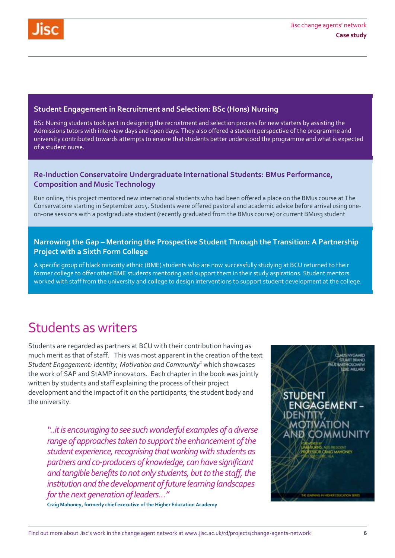#### **Student Engagement in Recruitment and Selection: BSc (Hons) Nursing**

BSc Nursing students took part in designing the recruitment and selection process for new starters by assisting the Admissions tutors with interview days and open days. They also offered a student perspective of the programme and university contributed towards attempts to ensure that students better understood the programme and what is expected of a student nurse.

#### **Re-Induction Conservatoire Undergraduate International Students: BMus Performance, Composition and Music Technology**

Run online, this project mentored new international students who had been offered a place on the BMus course at The Conservatoire starting in September 2015. Students were offered pastoral and academic advice before arrival using oneon-one sessions with a postgraduate student (recently graduated from the BMus course) or current BMus3 student

#### **Narrowing the Gap – Mentoring the Prospective Student Through the Transition: A Partnership Project with a Sixth Form College**

A specific group of black minority ethnic (BME) students who are now successfully studying at BCU returned to their former college to offer other BME students mentoring and support them in their study aspirations. Student mentors worked with staff from the university and college to design interventions to support student development at the college.

### Students as writers

Students are regarded as partners at BCU with their contribution having as much merit as that of staff. This was most apparent in the creation of the text *Student Engagement: Identity, Motivation and Community<sup>1</sup>* which showcases the work of SAP and StAMP innovators. Each chapter in the book was jointly written by students and staff explaining the process of their project development and the impact of it on the participants, the student body and the university.

*"..it is encouraging to see such wonderful examples of a diverse range of approaches taken to support the enhancement of the student experience, recognising that working with students as partners and co-producers of knowledge, can have significant and tangible benefits to not only students, but to the staff, the institution and the development of future learning landscapes for the next generation of leaders…"*

**Craig Mahoney, formerly chief executive of the Higher Education Academy**

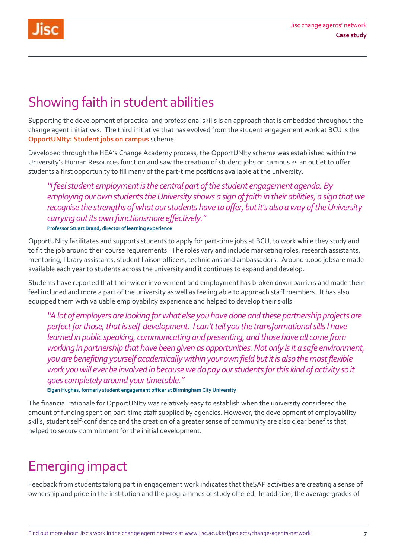## Showing faith in student abilities

Supporting the development of practical and professional skills is an approach that is embedded throughout the change agent initiatives. The third initiative that has evolved from the student engagement work at BCU is the **[OpportUNIty:](http://www.bcu.ac.uk/about-us/celt/student-engagement/student-employment-opportunity) Student jobs on campus** scheme.

Developed through the HEA's Change Academy process, the [OpportUNIty](http://www.bcu.ac.uk/about-us/celt/student-engagement/student-employment-opportunity) scheme was established within the University's Human Resources function and saw the creation of student jobs on campus as an outlet to offer students a first opportunity to fill many of the part-time positions available at the university.

*"I feel student employment is the central part of the student engagement agenda. By employing our own students the University shows a sign of faith in their abilities, a sign that we recognise the strengths of what our students have to offer, but it's also a way of the University carrying out its own functionsmore effectively."* **Professor Stuart Brand, director of learning experience**

OpportUNIty facilitates and supports students to apply for part-time jobs at BCU, to work while they study and to fit the job around their course requirements. The roles vary and include marketing roles, research assistants, mentoring, library assistants, student liaison officers, technicians and ambassadors. Around 1,000 jobsare made available each year to students across the university and it continues to expand and develop.

Students have reported that their wider involvement and employment has broken down barriers and made them feel included and more a part of the university as well as feeling able to approach staff members. It has also equipped them with valuable employability experience and helped to develop their skills.

*"A lot of employers are looking for what else you have done and these partnership projects are perfect for those, that is self-development. I can't tell you the transformational sills I have learned in public speaking, communicating and presenting, and those have all come from working in partnership that have been given as opportunities. Not only is it a safe environment, you are benefiting yourself academically within your own field but it is also the most flexible work you will ever be involved in because we do pay our students for this kind of activity so it goes completely around your timetable."*

**Elgan Hughes, formerly student engagement officer at Birmingham City University**

The financial rationale for OpportUNIty was relatively easy to establish when the university considered the amount of funding spent on part-time staff supplied by agencies. However, the development of employability skills, student self-confidence and the creation of a greater sense of community are also clear benefits that helped to secure commitment for the initial development.

# Emerging impact

Feedback from students taking part in engagement work indicates that theSAP activities are creating a sense of ownership and pride in the institution and the programmes of study offered. In addition, the average grades of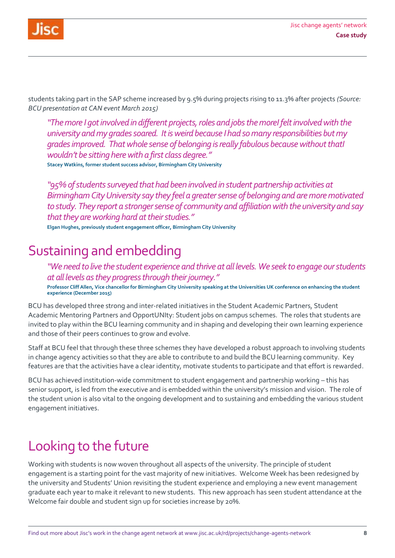

students taking part in the SAP scheme increased by 9.5% during projects rising to 11.3% after projects *(Source: BCU presentation at CAN event March 2015)*

*"The more I got involved in different projects, roles and jobsthe moreI felt involvedwith the university and my grades soared. It is weird because I had so many responsibilities but my grades improved. That whole sense of belonging is really fabulous because without thatI wouldn't be sitting here with a first class degree."* **Stacey Watkins, former student success advisor, Birmingham City University**

*"95% of students surveyed that had been involved in student partnership activities at Birmingham City University say they feel a greater sense of belonging and are more motivated to study. They report a stronger sense of community and affiliation with the university and say that they are working hard at their studies."*

**Elgan Hughes, previously student engagement officer, Birmingham City University**

### Sustaining and embedding

*"We need to live the student experience and thrive at all levels. We seek to engage our students at all levels as they progress through their journey."* **Professor Cliff Allen, Vice chancellor for Birmingham City University speaking at the Universities UK conference on enhancing the student experience (December 2015)** 

BCU has developed three strong and inter-related initiatives in the Student Academic Partners, Student Academic Mentoring Partners and OpportUNIty: Student jobs on campus schemes. The roles that students are invited to play within the BCU learning community and in shaping and developing their own learning experience and those of their peers continues to grow and evolve.

Staff at BCU feel that through these three schemes they have developed a robust approach to involving students in change agency activities so that they are able to contribute to and build the BCU learning community. Key features are that the activities have a clear identity, motivate students to participate and that effort is rewarded.

BCU has achieved institution-wide commitment to student engagement and partnership working – this has senior support, is led from the executive and is embedded within the university's mission and vision. The role of the student union is also vital to the ongoing development and to sustaining and embedding the various student engagement initiatives.

## Looking to the future

Working with students is now woven throughout all aspects of the university. The principle of student engagement is a starting point for the vast majority of new initiatives. Welcome Week has been redesigned by the university and Students' Union revisiting the student experience and employing a new event management graduate each year to make it relevant to new students. This new approach has seen student attendance at the Welcome fair double and student sign up for societies increase by 20%.